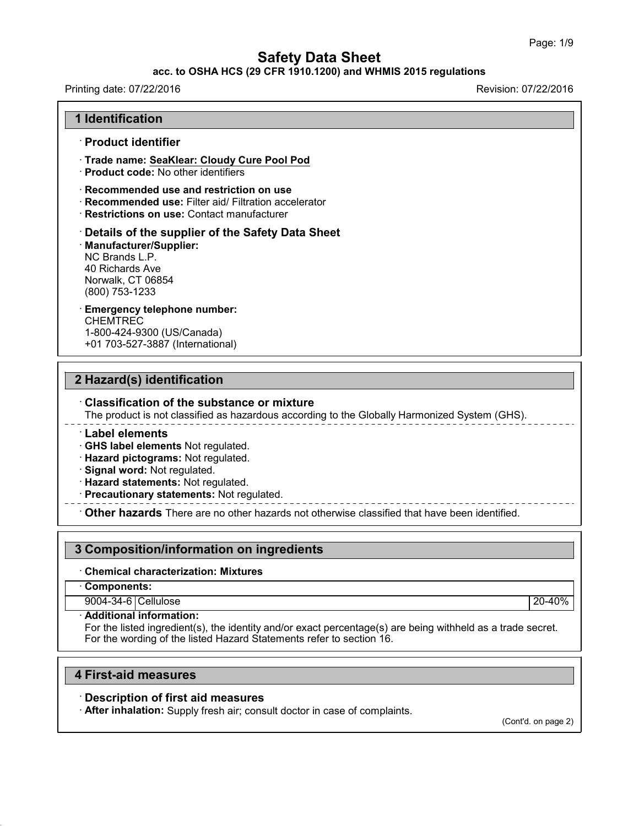#### **acc. to OSHA HCS (29 CFR 1910.1200) and WHMIS 2015 regulations**

| Printing date: 07/22/2016                                                                                                                                                                                                   | Revision: 07/22/2016 |
|-----------------------------------------------------------------------------------------------------------------------------------------------------------------------------------------------------------------------------|----------------------|
| <b>1 Identification</b>                                                                                                                                                                                                     |                      |
| · Product identifier                                                                                                                                                                                                        |                      |
| Trade name: SeaKlear: Cloudy Cure Pool Pod<br>· Product code: No other identifiers                                                                                                                                          |                      |
| Recommended use and restriction on use<br>· Recommended use: Filter aid/ Filtration accelerator<br>· Restrictions on use: Contact manufacturer                                                                              |                      |
| Details of the supplier of the Safety Data Sheet<br>· Manufacturer/Supplier:<br>NC Brands L.P.<br>40 Richards Ave<br>Norwalk, CT 06854<br>(800) 753-1233                                                                    |                      |
| <b>Emergency telephone number:</b><br><b>CHEMTREC</b><br>1-800-424-9300 (US/Canada)<br>+01 703-527-3887 (International)                                                                                                     |                      |
| 2 Hazard(s) identification<br><b>Classification of the substance or mixture</b>                                                                                                                                             |                      |
| The product is not classified as hazardous according to the Globally Harmonized System (GHS).                                                                                                                               |                      |
| $^{\cdot}$ Label elements<br>· GHS label elements Not regulated.<br>· Hazard pictograms: Not regulated.<br>Signal word: Not regulated.<br>· Hazard statements: Not regulated.<br>· Precautionary statements: Not regulated. |                      |
| Other hazards There are no other hazards not otherwise classified that have been identified.                                                                                                                                |                      |
|                                                                                                                                                                                                                             |                      |
| 3 Composition/information on ingredients                                                                                                                                                                                    |                      |
| <b>Chemical characterization: Mixtures</b>                                                                                                                                                                                  |                      |
| Components:                                                                                                                                                                                                                 |                      |
| 9004-34-6 Cellulose                                                                                                                                                                                                         | 20-40%               |
| · Additional information:<br>For the listed ingredient(s), the identity and/or exact percentage(s) are being withheld as a trade secret.                                                                                    |                      |

For the wording of the listed Hazard Statements refer to section 16.

# **4 First-aid measures**

43.0

# · **Description of first aid measures**

· **After inhalation:** Supply fresh air; consult doctor in case of complaints.

(Cont'd. on page 2)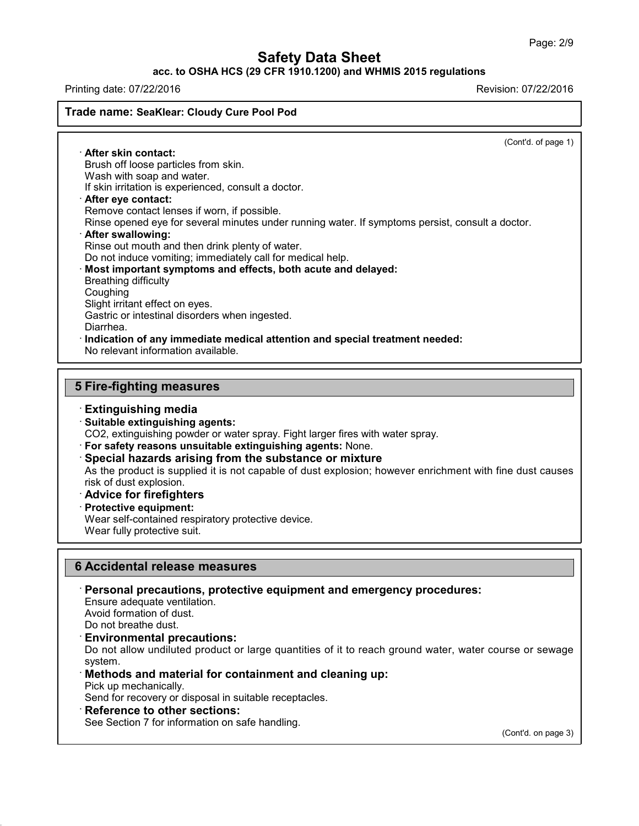# **acc. to OSHA HCS (29 CFR 1910.1200) and WHMIS 2015 regulations**

Printing date: 07/22/2016 Revision: 07/22/2016

## **Trade name: SeaKlear: Cloudy Cure Pool Pod**

(Cont'd. of page 1)

· **After skin contact:** Brush off loose particles from skin. Wash with soap and water. If skin irritation is experienced, consult a doctor. · **After eye contact:** Remove contact lenses if worn, if possible. Rinse opened eye for several minutes under running water. If symptoms persist, consult a doctor. · **After swallowing:** Rinse out mouth and then drink plenty of water. Do not induce vomiting; immediately call for medical help. · **Most important symptoms and effects, both acute and delayed:** Breathing difficulty Coughing Slight irritant effect on eyes. Gastric or intestinal disorders when ingested. Diarrhea. · **Indication of any immediate medical attention and special treatment needed:** No relevant information available.

## **5 Fire-fighting measures**

## · **Extinguishing media**

#### · **Suitable extinguishing agents:**

CO2, extinguishing powder or water spray. Fight larger fires with water spray.

- · **For safety reasons unsuitable extinguishing agents:** None.
- · **Special hazards arising from the substance or mixture**

As the product is supplied it is not capable of dust explosion; however enrichment with fine dust causes risk of dust explosion.

# · **Advice for firefighters**

· **Protective equipment:**

Wear self-contained respiratory protective device. Wear fully protective suit.

#### **6 Accidental release measures**

· **Personal precautions, protective equipment and emergency procedures:**

Ensure adequate ventilation.

Avoid formation of dust.

Do not breathe dust.

#### · **Environmental precautions:**

Do not allow undiluted product or large quantities of it to reach ground water, water course or sewage system.

· **Methods and material for containment and cleaning up:**

Pick up mechanically.

43.0

Send for recovery or disposal in suitable receptacles.

· **Reference to other sections:**

See Section 7 for information on safe handling.

(Cont'd. on page 3)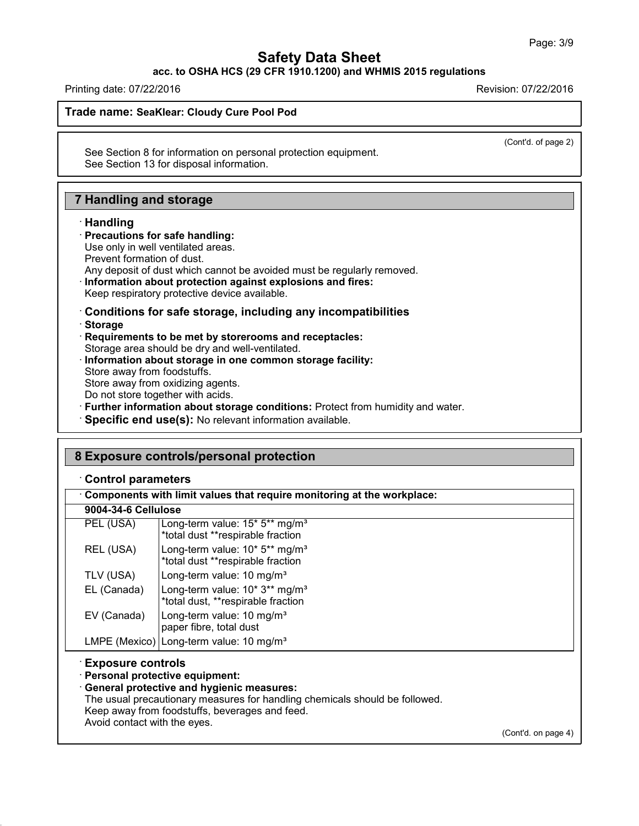**acc. to OSHA HCS (29 CFR 1910.1200) and WHMIS 2015 regulations**

Printing date: 07/22/2016 Revision: 07/22/2016

**Trade name: SeaKlear: Cloudy Cure Pool Pod**

(Cont'd. of page 2)

See Section 8 for information on personal protection equipment. See Section 13 for disposal information.

# **7 Handling and storage**

## · **Handling**

43.0

#### · **Precautions for safe handling:**

- Use only in well ventilated areas.
- Prevent formation of dust.
- Any deposit of dust which cannot be avoided must be regularly removed.
- · **Information about protection against explosions and fires:**

Keep respiratory protective device available.

- · **Conditions for safe storage, including any incompatibilities** · **Storage**
- · **Requirements to be met by storerooms and receptacles:**
- Storage area should be dry and well-ventilated.
- · **Information about storage in one common storage facility:**
- Store away from foodstuffs.
- Store away from oxidizing agents.
- Do not store together with acids.
- · **Further information about storage conditions:** Protect from humidity and water.
- · **Specific end use(s):** No relevant information available.

| Components with limit values that require monitoring at the workplace: |                                                                                                                                                                                                                  |  |  |  |
|------------------------------------------------------------------------|------------------------------------------------------------------------------------------------------------------------------------------------------------------------------------------------------------------|--|--|--|
| 9004-34-6 Cellulose                                                    |                                                                                                                                                                                                                  |  |  |  |
| PEL (USA)                                                              | Long-term value: 15* 5** mg/m <sup>3</sup><br>*total dust **respirable fraction                                                                                                                                  |  |  |  |
| REL (USA)                                                              | Long-term value: 10* 5** mg/m <sup>3</sup><br>*total dust **respirable fraction                                                                                                                                  |  |  |  |
| TLV (USA)                                                              | Long-term value: 10 mg/m <sup>3</sup>                                                                                                                                                                            |  |  |  |
| EL (Canada)                                                            | Long-term value: 10* 3** mg/m <sup>3</sup><br>*total dust, **respirable fraction                                                                                                                                 |  |  |  |
| EV (Canada)                                                            | Long-term value: 10 mg/m <sup>3</sup><br>paper fibre, total dust                                                                                                                                                 |  |  |  |
|                                                                        | LMPE (Mexico) Long-term value: 10 mg/m <sup>3</sup>                                                                                                                                                              |  |  |  |
| <b>Exposure controls</b>                                               | · Personal protective equipment:<br>· General protective and hygienic measures:<br>The usual precautionary measures for handling chemicals should be followed.<br>Keep away from foodstuffs, beverages and feed. |  |  |  |

(Cont'd. on page 4)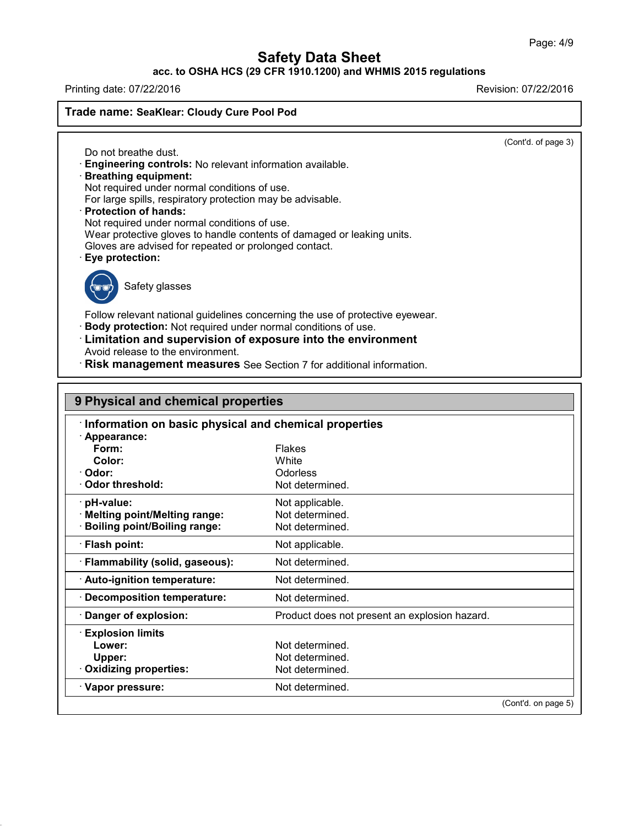# **acc. to OSHA HCS (29 CFR 1910.1200) and WHMIS 2015 regulations**

Printing date: 07/22/2016 Revision: 07/22/2016

**Trade name: SeaKlear: Cloudy Cure Pool Pod**

(Cont'd. of page 3)

Do not breathe dust. · **Engineering controls:** No relevant information available.

· **Breathing equipment:**

Not required under normal conditions of use.

For large spills, respiratory protection may be advisable.

· **Protection of hands:**

Not required under normal conditions of use.

Wear protective gloves to handle contents of damaged or leaking units.

Gloves are advised for repeated or prolonged contact.

· **Eye protection:**



43.0

Safety glasses

Follow relevant national guidelines concerning the use of protective eyewear. · **Body protection:** Not required under normal conditions of use.

· **Limitation and supervision of exposure into the environment** Avoid release to the environment.

· **Risk management measures** See Section 7 for additional information.

| Information on basic physical and chemical properties |                                               |  |  |  |
|-------------------------------------------------------|-----------------------------------------------|--|--|--|
| Appearance:                                           |                                               |  |  |  |
| Form:                                                 | <b>Flakes</b>                                 |  |  |  |
| Color:                                                | White                                         |  |  |  |
| Odor:                                                 | <b>Odorless</b>                               |  |  |  |
| Odor threshold:                                       | Not determined.                               |  |  |  |
| pH-value:                                             | Not applicable.                               |  |  |  |
| <b>Melting point/Melting range:</b>                   | Not determined.                               |  |  |  |
| <b>Boiling point/Boiling range:</b>                   | Not determined.                               |  |  |  |
| <b>Flash point:</b>                                   | Not applicable.                               |  |  |  |
| · Flammability (solid, gaseous):                      | Not determined.                               |  |  |  |
| · Auto-ignition temperature:                          | Not determined.                               |  |  |  |
| <b>Decomposition temperature:</b>                     | Not determined.                               |  |  |  |
| Danger of explosion:                                  | Product does not present an explosion hazard. |  |  |  |
| <b>Explosion limits</b>                               |                                               |  |  |  |
| Lower:                                                | Not determined.                               |  |  |  |
| Upper:                                                | Not determined.                               |  |  |  |
| <b>Oxidizing properties:</b>                          | Not determined.                               |  |  |  |
| · Vapor pressure:                                     | Not determined.                               |  |  |  |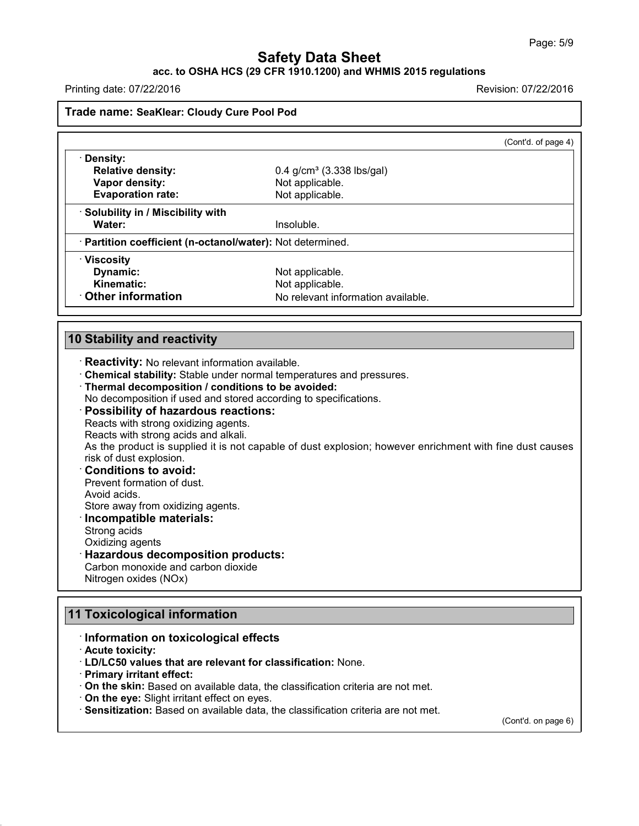# **acc. to OSHA HCS (29 CFR 1910.1200) and WHMIS 2015 regulations**

Printing date: 07/22/2016 **Revision: 07/22/2016** 

## **Trade name: SeaKlear: Cloudy Cure Pool Pod**

|                                                                                                              | (Cont'd. of page 4)                                                                                                                       |
|--------------------------------------------------------------------------------------------------------------|-------------------------------------------------------------------------------------------------------------------------------------------|
| Density:                                                                                                     |                                                                                                                                           |
| <b>Relative density:</b>                                                                                     | $0.4$ g/cm <sup>3</sup> (3.338 lbs/gal)                                                                                                   |
| Vapor density:                                                                                               | Not applicable.                                                                                                                           |
| <b>Evaporation rate:</b>                                                                                     | Not applicable.                                                                                                                           |
| · Solubility in / Miscibility with                                                                           |                                                                                                                                           |
| Water:                                                                                                       | Insoluble.                                                                                                                                |
| · Partition coefficient (n-octanol/water): Not determined.                                                   |                                                                                                                                           |
| · Viscosity                                                                                                  |                                                                                                                                           |
| Dynamic:                                                                                                     | Not applicable.                                                                                                                           |
| <b>Kinematic:</b>                                                                                            | Not applicable.                                                                                                                           |
| <b>Other information</b>                                                                                     | No relevant information available.                                                                                                        |
|                                                                                                              |                                                                                                                                           |
| <b>Reactivity:</b> No relevant information available.<br>· Thermal decomposition / conditions to be avoided: | . Chemical stability: Stable under normal temperatures and pressures.<br>No decomposition if used and stored according to specifications. |
| <b>Possibility of hazardous reactions:</b><br>Reacts with strong oxidizing agents.                           |                                                                                                                                           |
| Reacts with strong acids and alkali.                                                                         |                                                                                                                                           |
|                                                                                                              | As the product is supplied it is not capable of dust explosion; however enrichment with fine dust causes                                  |
| risk of dust explosion.                                                                                      |                                                                                                                                           |
| <b>Conditions to avoid:</b>                                                                                  |                                                                                                                                           |
| Prevent formation of dust.<br>Avoid acids.                                                                   |                                                                                                                                           |
| Store away from oxidizing agents.                                                                            |                                                                                                                                           |
| Incompatible materials:                                                                                      |                                                                                                                                           |
| Strong acids                                                                                                 |                                                                                                                                           |
| Oxidizing agents                                                                                             |                                                                                                                                           |
| <b>Hazardous decomposition products:</b>                                                                     |                                                                                                                                           |
| Carbon monoxide and carbon dioxide<br>Nitrogen oxides (NOx)                                                  |                                                                                                                                           |

# **11 Toxicological information**

# · **Information on toxicological effects**

· **Acute toxicity:**

43.0

- · **LD/LC50 values that are relevant for classification:** None.
- · **Primary irritant effect:**
- · **On the skin:** Based on available data, the classification criteria are not met.
- · **On the eye:** Slight irritant effect on eyes.
- · **Sensitization:** Based on available data, the classification criteria are not met.

(Cont'd. on page 6)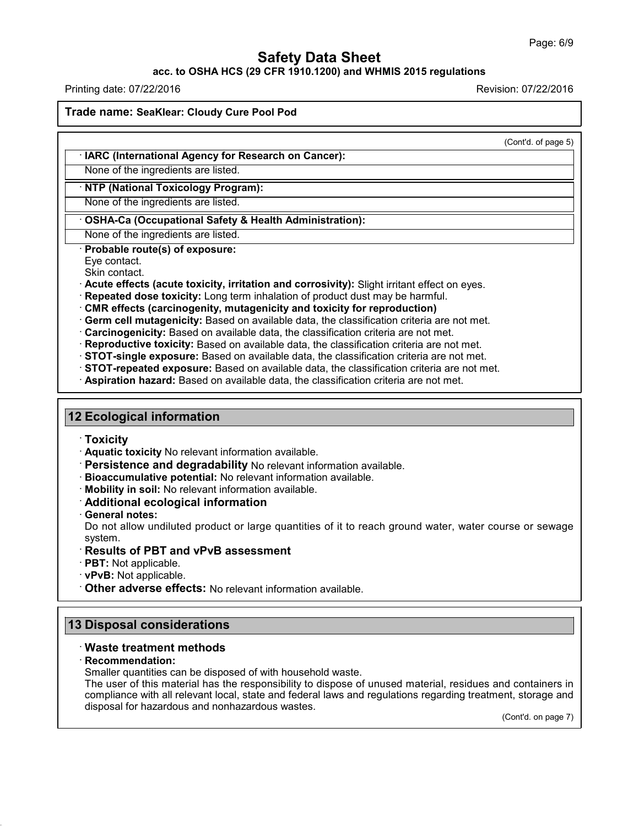## **acc. to OSHA HCS (29 CFR 1910.1200) and WHMIS 2015 regulations**

Printing date: 07/22/2016 Revision: 07/22/2016

**Trade name: SeaKlear: Cloudy Cure Pool Pod**

(Cont'd. of page 5)

#### · **IARC (International Agency for Research on Cancer):**

None of the ingredients are listed.

## · **NTP (National Toxicology Program):**

None of the ingredients are listed.

## · **OSHA-Ca (Occupational Safety & Health Administration):**

None of the ingredients are listed.

· **Probable route(s) of exposure:**

Eye contact.

Skin contact.

· **Acute effects (acute toxicity, irritation and corrosivity):** Slight irritant effect on eyes.

- · **Repeated dose toxicity:** Long term inhalation of product dust may be harmful.
- · **CMR effects (carcinogenity, mutagenicity and toxicity for reproduction)**
- · **Germ cell mutagenicity:** Based on available data, the classification criteria are not met.
- · **Carcinogenicity:** Based on available data, the classification criteria are not met.
- · **Reproductive toxicity:** Based on available data, the classification criteria are not met.
- · **STOT-single exposure:** Based on available data, the classification criteria are not met.
- · **STOT-repeated exposure:** Based on available data, the classification criteria are not met.
- · **Aspiration hazard:** Based on available data, the classification criteria are not met.

# **12 Ecological information**

· **Toxicity**

- · **Aquatic toxicity** No relevant information available.
- · **Persistence and degradability** No relevant information available.
- · **Bioaccumulative potential:** No relevant information available.
- · **Mobility in soil:** No relevant information available.
- · **Additional ecological information**
- · **General notes:**

Do not allow undiluted product or large quantities of it to reach ground water, water course or sewage system.

## · **Results of PBT and vPvB assessment**

- · **PBT:** Not applicable.
- · **vPvB:** Not applicable.
- · **Other adverse effects:** No relevant information available.

# **13 Disposal considerations**

## · **Waste treatment methods**

· **Recommendation:**

43.0

Smaller quantities can be disposed of with household waste.

The user of this material has the responsibility to dispose of unused material, residues and containers in compliance with all relevant local, state and federal laws and regulations regarding treatment, storage and disposal for hazardous and nonhazardous wastes.

(Cont'd. on page 7)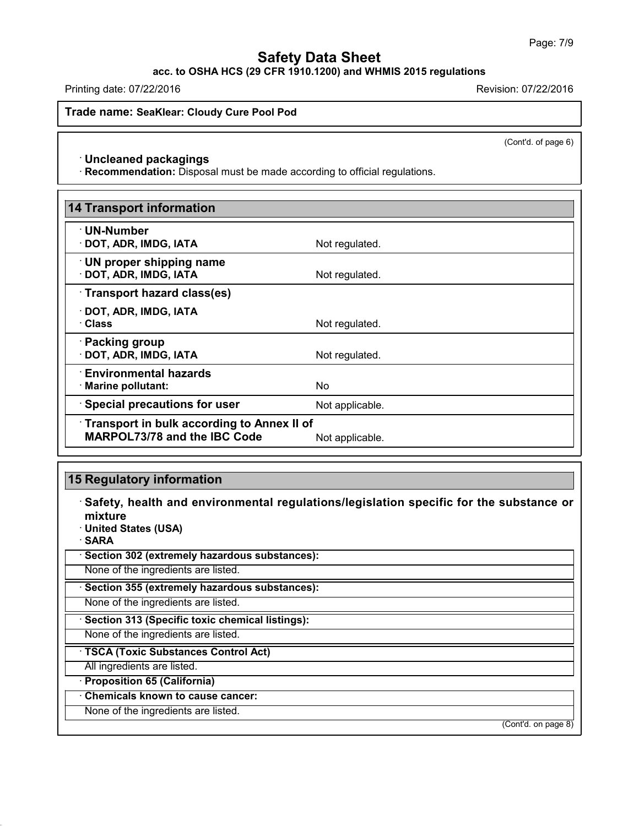**acc. to OSHA HCS (29 CFR 1910.1200) and WHMIS 2015 regulations**

Printing date: 07/22/2016 Revision: 07/22/2016

**Trade name: SeaKlear: Cloudy Cure Pool Pod**

(Cont'd. of page 6)

#### · **Uncleaned packagings**

· **Recommendation:** Disposal must be made according to official regulations.

| <b>14 Transport information</b>                                                          |                 |
|------------------------------------------------------------------------------------------|-----------------|
| ∙ UN-Number<br>$\cdot$ DOT, ADR, IMDG, IATA                                              | Not regulated.  |
| $\cdot$ UN proper shipping name<br>· DOT, ADR, IMDG, IATA                                | Not regulated.  |
| Transport hazard class(es)                                                               |                 |
| · DOT, ADR, IMDG, IATA<br>· Class                                                        | Not regulated.  |
| · Packing group<br>· DOT, ADR, IMDG, IATA                                                | Not regulated.  |
| $\cdot$ Environmental hazards<br>$\cdot$ Marine pollutant:                               | No.             |
| <b>Special precautions for user</b>                                                      | Not applicable. |
| <b>Transport in bulk according to Annex II of</b><br><b>MARPOL73/78 and the IBC Code</b> | Not applicable. |

# **15 Regulatory information**

· **Safety, health and environmental regulations/legislation specific for the substance or mixture**

· **United States (USA)**

· **SARA**

43.0

· **Section 302 (extremely hazardous substances):**

None of the ingredients are listed.

· **Section 355 (extremely hazardous substances):**

None of the ingredients are listed.

· **Section 313 (Specific toxic chemical listings):**

None of the ingredients are listed.

· **TSCA (Toxic Substances Control Act)**

All ingredients are listed.

· **Proposition 65 (California)**

## · **Chemicals known to cause cancer:**

None of the ingredients are listed.

(Cont'd. on page 8)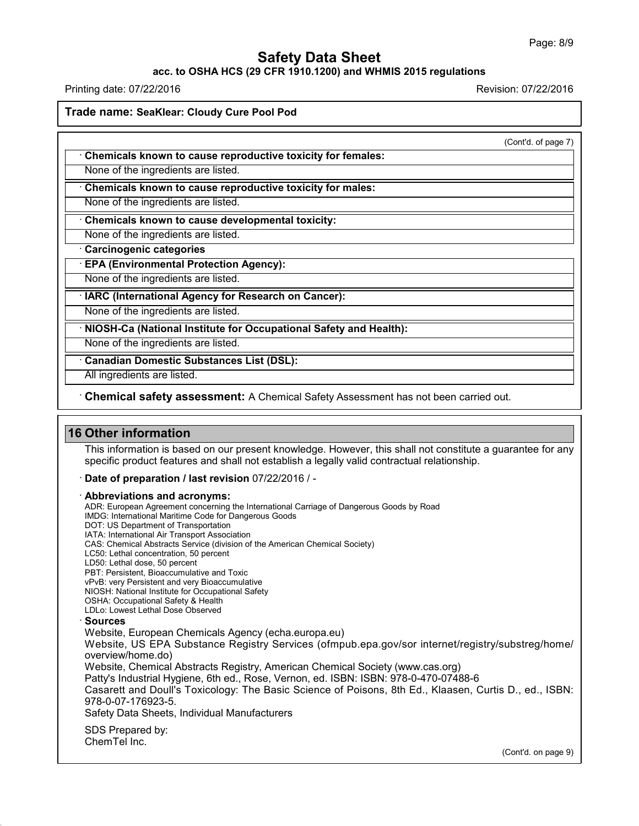#### **acc. to OSHA HCS (29 CFR 1910.1200) and WHMIS 2015 regulations**

Printing date: 07/22/2016 Revision: 07/22/2016

**Trade name: SeaKlear: Cloudy Cure Pool Pod**

(Cont'd. of page 7)

· **Chemicals known to cause reproductive toxicity for females:**

None of the ingredients are listed.

· **Chemicals known to cause reproductive toxicity for males:**

None of the ingredients are listed.

· **Chemicals known to cause developmental toxicity:**

None of the ingredients are listed.

· **Carcinogenic categories**

· **EPA (Environmental Protection Agency):**

None of the ingredients are listed.

· **IARC (International Agency for Research on Cancer):**

None of the ingredients are listed.

· **NIOSH-Ca (National Institute for Occupational Safety and Health):**

None of the ingredients are listed.

· **Canadian Domestic Substances List (DSL):**

All ingredients are listed.

· **Chemical safety assessment:** A Chemical Safety Assessment has notbeen carried out.

# **16 Other information**

This information is based on our present knowledge. However, this shall not constitute a guarantee for any specific product features and shall not establish a legally valid contractual relationship.

· **Date of preparation / last revision** 07/22/2016 / -

· **Abbreviations and acronyms:**

ADR: European Agreement concerning the International Carriage of Dangerous Goods by Road

IMDG: International Maritime Code for Dangerous Goods

DOT: US Department of Transportation

IATA: International Air Transport Association

CAS: Chemical Abstracts Service (division of the American Chemical Society)

LC50: Lethal concentration, 50 percent

LD50: Lethal dose, 50 percent

PBT: Persistent, Bioaccumulative and Toxic vPvB: very Persistent and very Bioaccumulative

NIOSH: National Institute for Occupational Safety

OSHA: Occupational Safety & Health

LDLo: Lowest Lethal Dose Observed

#### · **Sources**

43.0

Website, European Chemicals Agency (echa.europa.eu)

Website, US EPA Substance Registry Services (ofmpub.epa.gov/sor internet/registry/substreg/home/ overview/home.do)

Website, Chemical Abstracts Registry, American Chemical Society (www.cas.org)

Patty's Industrial Hygiene, 6th ed., Rose, Vernon, ed. ISBN: ISBN: 978-0-470-07488-6

Casarett and Doull's Toxicology: The Basic Science of Poisons, 8th Ed., Klaasen, Curtis D.,ed., ISBN: 978-0-07-176923-5.

Safety Data Sheets, Individual Manufacturers

SDS Prepared by: ChemTel Inc.

(Cont'd. on page 9)